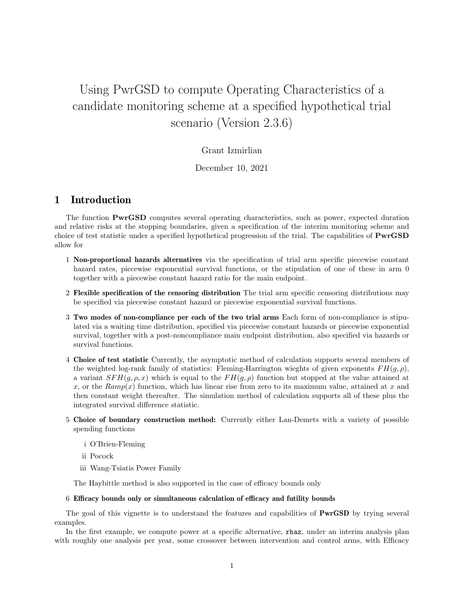# Using PwrGSD to compute Operating Characteristics of a candidate monitoring scheme at a specified hypothetical trial scenario (Version 2.3.6)

### Grant Izmirlian

#### December 10, 2021

## 1 Introduction

The function PwrGSD computes several operating characteristics, such as power, expected duration and relative risks at the stopping boundaries, given a specification of the interim monitoring scheme and choice of test statistic under a specified hypothetical progression of the trial. The capabilities of PwrGSD allow for

- 1 Non-proportional hazards alternatives via the specification of trial arm specific piecewise constant hazard rates, piecewise exponential survival functions, or the stipulation of one of these in arm 0 together with a piecewise constant hazard ratio for the main endpoint.
- 2 Flexible specification of the censoring distribution The trial arm specific censoring distributions may be specified via piecewise constant hazard or piecewise exponential survival functions.
- 3 Two modes of non-compliance per each of the two trial arms Each form of non-compliance is stipulated via a waiting time distribution, specified via piecewise constant hazards or piecewise exponential survival, together with a post-noncompliance main endpoint distribution, also specified via hazards or survival functions.
- 4 Choice of test statistic Currently, the asymptotic method of calculation supports several members of the weighted log-rank family of statistics: Fleming-Harrington wieghts of given exponents  $FH(g, \rho)$ , a variant  $SFH(g, \rho, x)$  which is equal to the  $FH(g, \rho)$  function but stopped at the value attained at x, or the  $Ramp(x)$  function, which has linear rise from zero to its maximum value, attained at x and then constant weight thereafter. The simulation method of calculation supports all of these plus the integrated survival difference statistic.
- 5 Choice of boundary construction method: Currently either Lan-Demets with a variety of possible spending functions
	- i O'Brien-Fleming
	- ii Pocock
	- iii Wang-Tsiatis Power Family

The Haybittle method is also supported in the case of efficacy bounds only

#### 6 Efficacy bounds only or simultaneous calculation of efficacy and futility bounds

The goal of this vignette is to understand the features and capabilities of **PwrGSD** by trying several examples.

In the first example, we compute power at a specific alternative, rhaz, under an interim analysis plan with roughly one analysis per year, some crossover between intervention and control arms, with Efficacy